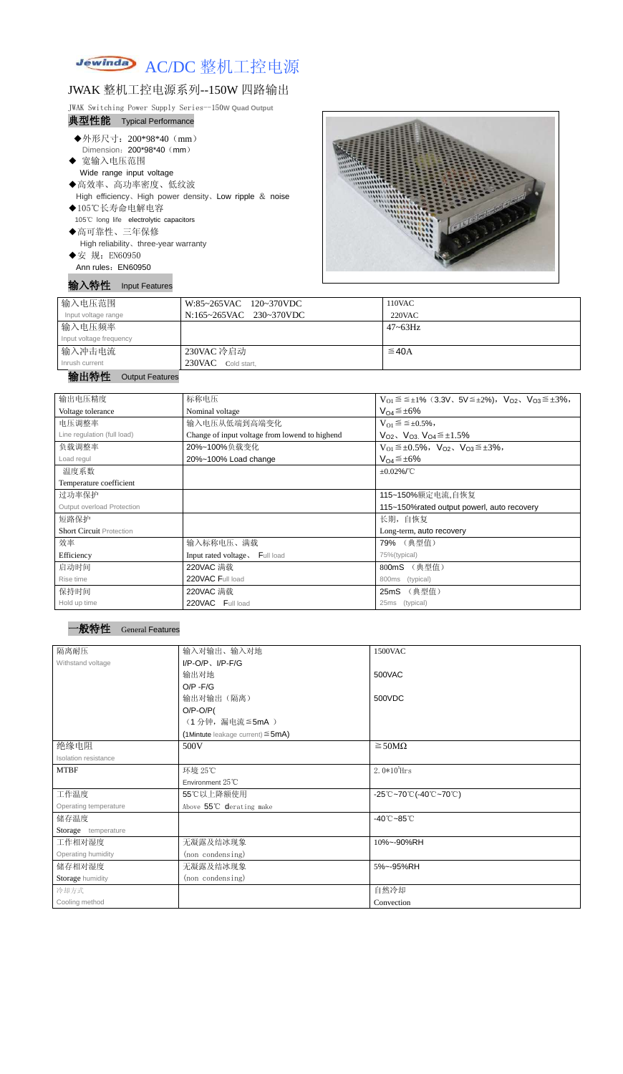# Jewinda AC/DC 整机工控电源

## JWAK 整机工控电源系列--150W 四路输出

JWAK Switching Power Supply Series--150**W Quad Output**

## 典型性能 Typical Performance

- ◆外形尺寸: 200\*98\*40 (mm) Dimension: 200\*98\*40 (mm)
- ◆ 宽输入电压范围 Wide range input voltage
	-
- ◆高效率、高功率密度、低纹波 High efficiency、High power density、Low ripple & noise
- ◆105℃长寿命电解电容 105℃ long life electrolytic capacitors
- ◆高可靠性、三年保修

High reliability、three-year warranty

◆安 规: EN60950 Ann rules: EN60950

## 输入特性 Input Features



| 输入电压范围                       | W:85~265VAC 120~370VDC  | 110VAC       |
|------------------------------|-------------------------|--------------|
| Input voltage range          | N:165~265VAC 230~370VDC | $220$ VAC    |
| 输入电压频率                       |                         | $47 - 63$ Hz |
| Input voltage frequency      |                         |              |
| 输入冲击电流                       | 230VAC 冷启动              | $\leq$ 40A   |
| Inrush current               | 230VAC Cold start,      |              |
| <b><i>BACK BACK BACK</i></b> |                         |              |

#### 输出特性 Output Features

| 输出电压精度                          | 标称电压                                                                                            | $V_{O1} \le \le \pm 1\%$ (3.3V, $5V \le \pm 2\%$ ), $V_{O2}$ , $V_{O3} \le \pm 3\%$ , |  |
|---------------------------------|-------------------------------------------------------------------------------------------------|---------------------------------------------------------------------------------------|--|
| Voltage tolerance               | Nominal voltage                                                                                 | $V_{Q4} \leq \pm 6\%$                                                                 |  |
| 电压调整率                           | 输入电压从低端到高端变化                                                                                    | $V_{O1} \leq \leq \pm 0.5\%,$                                                         |  |
| Line regulation (full load)     | $V_{O2}$ , $V_{O3}$ , $V_{O4} \leq \pm 1.5\%$<br>Change of input voltage from lowend to highend |                                                                                       |  |
| 负载调整率                           | 20%~100%负载变化                                                                                    | $V_{O1} \leq \pm 0.5\%$ , $V_{O2}$ , $V_{O3} \leq \pm 3\%$ ,                          |  |
| Load regul                      | $V_{O4} \leq \pm 6\%$<br>20%~100% Load change                                                   |                                                                                       |  |
| 温度系数                            | $\pm 0.02\%$ /°C                                                                                |                                                                                       |  |
| Temperature coefficient         |                                                                                                 |                                                                                       |  |
| 过功率保护                           | 115~150%额定电流,自恢复                                                                                |                                                                                       |  |
| Output overload Protection      | 115~150% rated output powerl, auto recovery                                                     |                                                                                       |  |
| 短路保护                            | 长期, 自恢复                                                                                         |                                                                                       |  |
| <b>Short Circuit Protection</b> |                                                                                                 | Long-term, auto recovery                                                              |  |
| 效率                              | 输入标称电压、满载                                                                                       | 79% (典型值)                                                                             |  |
| Efficiency                      | Input rated voltage, Full load                                                                  | 75%(typical)                                                                          |  |
| 启动时间                            | 220VAC 满载                                                                                       | 800mS<br>(典型值)                                                                        |  |
| Rise time                       | 220VAC Full load                                                                                | 800ms<br>(typical)                                                                    |  |
| 保持时间                            | 220VAC 满载                                                                                       | (典型值)<br>25 <sub>m</sub> S                                                            |  |
| Hold up time                    | 220VAC Full load                                                                                | 25ms<br>(typical)                                                                     |  |

#### <sup>一</sup>般特性 General Features

| 隔离耐压                  | 输入对输出、输入对地                                | 1500VAC                                                                               |  |
|-----------------------|-------------------------------------------|---------------------------------------------------------------------------------------|--|
|                       |                                           |                                                                                       |  |
| Withstand voltage     | $I/P$ -O/P, $I/P$ -F/G                    |                                                                                       |  |
|                       | 输出对地                                      | 500VAC                                                                                |  |
|                       | $O/P - F/G$                               |                                                                                       |  |
|                       | 输出对输出(隔离)                                 | 500VDC                                                                                |  |
|                       | $O/P-O/P($                                |                                                                                       |  |
|                       | (1分钟,漏电流≦5mA)                             |                                                                                       |  |
|                       | $(1$ Mintute leakage current) $\leq$ 5mA) |                                                                                       |  |
| 绝缘电阻                  | 500V                                      | $\geq$ 50M $\Omega$                                                                   |  |
| Isolation resistance  |                                           |                                                                                       |  |
| <b>MTBF</b>           | 环境 25℃                                    | $2.0*105$ Hrs                                                                         |  |
|                       | Environment 25°C                          |                                                                                       |  |
| 工作温度                  | 55℃以上降额使用                                 | $-25^{\circ}\text{C}-70^{\circ}\text{C}$ (-40 $^{\circ}\text{C}-70^{\circ}\text{C}$ ) |  |
| Operating temperature | Above 55°C derating make                  |                                                                                       |  |
| 储存温度                  |                                           | $-40^{\circ}$ C $-85^{\circ}$ C                                                       |  |
| Storage temperature   |                                           |                                                                                       |  |
| 工作相对湿度                | 无凝露及结冰现象                                  | 10%~-90%RH                                                                            |  |
| Operating humidity    | (non condensing)                          |                                                                                       |  |
| 储存相对湿度                | 无凝露及结冰现象                                  | 5%~-95%RH                                                                             |  |
| Storage humidity      | (non condensing)                          |                                                                                       |  |
| 冷却方式                  |                                           | 自然冷却                                                                                  |  |
| Cooling method        |                                           | Convection                                                                            |  |